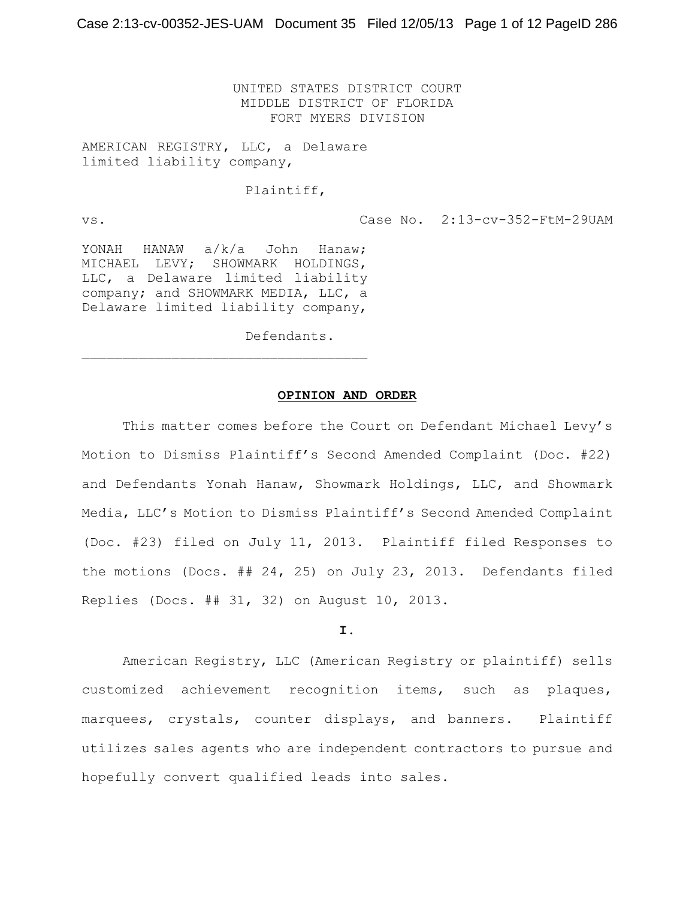UNITED STATES DISTRICT COURT MIDDLE DISTRICT OF FLORIDA FORT MYERS DIVISION

AMERICAN REGISTRY, LLC, a Delaware limited liability company,

## Plaintiff,

vs. Case No. 2:13-cv-352-FtM-29UAM

YONAH HANAW a/k/a John Hanaw; MICHAEL LEVY; SHOWMARK HOLDINGS, LLC, a Delaware limited liability company; and SHOWMARK MEDIA, LLC, a Delaware limited liability company,

 $\mathcal{L}_\text{max}$ 

Defendants.

#### **OPINION AND ORDER**

This matter comes before the Court on Defendant Michael Levy's Motion to Dismiss Plaintiff's Second Amended Complaint (Doc. #22) and Defendants Yonah Hanaw, Showmark Holdings, LLC, and Showmark Media, LLC's Motion to Dismiss Plaintiff's Second Amended Complaint (Doc. #23) filed on July 11, 2013. Plaintiff filed Responses to the motions (Docs. ## 24, 25) on July 23, 2013. Defendants filed Replies (Docs. ## 31, 32) on August 10, 2013.

## **I.**

American Registry, LLC (American Registry or plaintiff) sells customized achievement recognition items, such as plaques, marquees, crystals, counter displays, and banners. Plaintiff utilizes sales agents who are independent contractors to pursue and hopefully convert qualified leads into sales.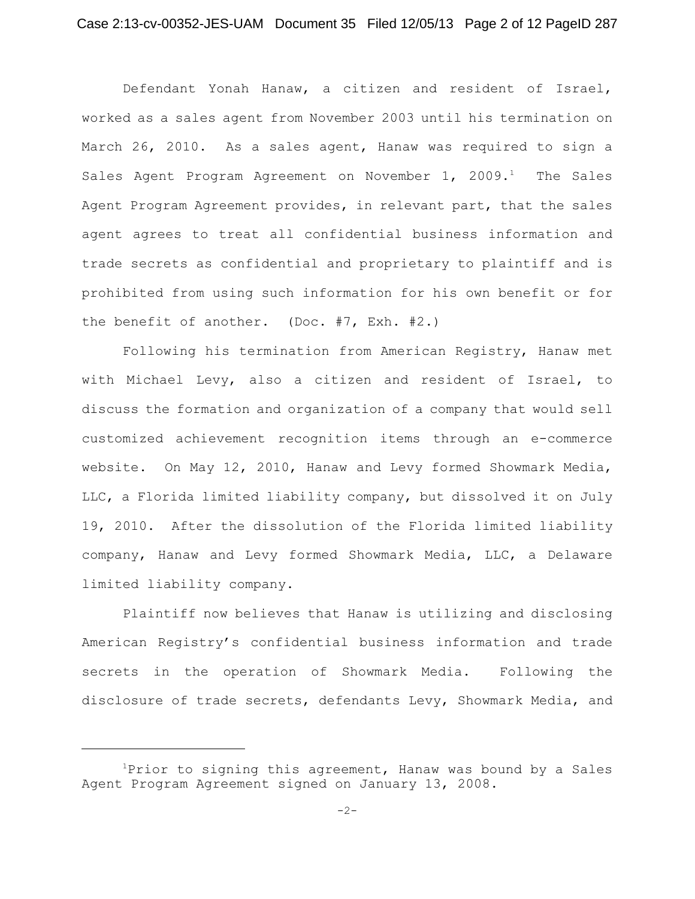Defendant Yonah Hanaw, a citizen and resident of Israel, worked as a sales agent from November 2003 until his termination on March 26, 2010. As a sales agent, Hanaw was required to sign a Sales Agent Program Agreement on November  $1, 2009$ .<sup>1</sup> The Sales Agent Program Agreement provides, in relevant part, that the sales agent agrees to treat all confidential business information and trade secrets as confidential and proprietary to plaintiff and is prohibited from using such information for his own benefit or for the benefit of another. (Doc. #7, Exh. #2.)

Following his termination from American Registry, Hanaw met with Michael Levy, also a citizen and resident of Israel, to discuss the formation and organization of a company that would sell customized achievement recognition items through an e-commerce website. On May 12, 2010, Hanaw and Levy formed Showmark Media, LLC, a Florida limited liability company, but dissolved it on July 19, 2010. After the dissolution of the Florida limited liability company, Hanaw and Levy formed Showmark Media, LLC, a Delaware limited liability company.

Plaintiff now believes that Hanaw is utilizing and disclosing American Registry's confidential business information and trade secrets in the operation of Showmark Media. Following the disclosure of trade secrets, defendants Levy, Showmark Media, and

 $1$ Prior to signing this agreement, Hanaw was bound by a Sales Agent Program Agreement signed on January 13, 2008.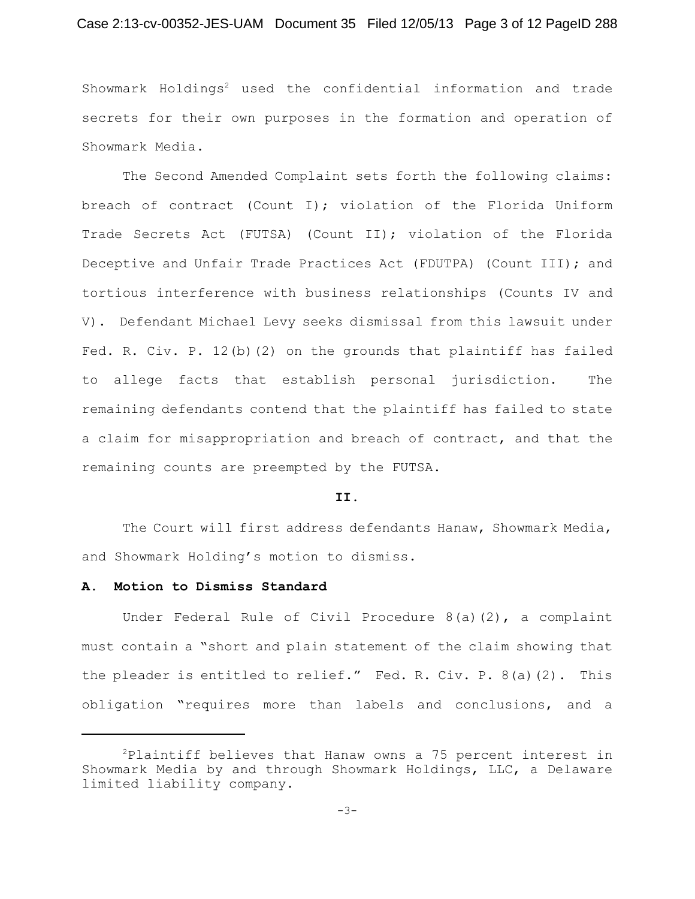## Case 2:13-cv-00352-JES-UAM Document 35 Filed 12/05/13 Page 3 of 12 PageID 288

Showmark Holdings<sup>2</sup> used the confidential information and trade secrets for their own purposes in the formation and operation of Showmark Media.

The Second Amended Complaint sets forth the following claims: breach of contract (Count I); violation of the Florida Uniform Trade Secrets Act (FUTSA) (Count II); violation of the Florida Deceptive and Unfair Trade Practices Act (FDUTPA) (Count III); and tortious interference with business relationships (Counts IV and V). Defendant Michael Levy seeks dismissal from this lawsuit under Fed. R. Civ. P. 12(b)(2) on the grounds that plaintiff has failed to allege facts that establish personal jurisdiction. The remaining defendants contend that the plaintiff has failed to state a claim for misappropriation and breach of contract, and that the remaining counts are preempted by the FUTSA.

#### **II.**

The Court will first address defendants Hanaw, Showmark Media, and Showmark Holding's motion to dismiss.

## **A. Motion to Dismiss Standard**

Under Federal Rule of Civil Procedure 8(a)(2), a complaint must contain a "short and plain statement of the claim showing that the pleader is entitled to relief." Fed. R. Civ. P. 8(a)(2). This obligation "requires more than labels and conclusions, and a

 ${}^{2}$ Plaintiff believes that Hanaw owns a 75 percent interest in Showmark Media by and through Showmark Holdings, LLC, a Delaware limited liability company.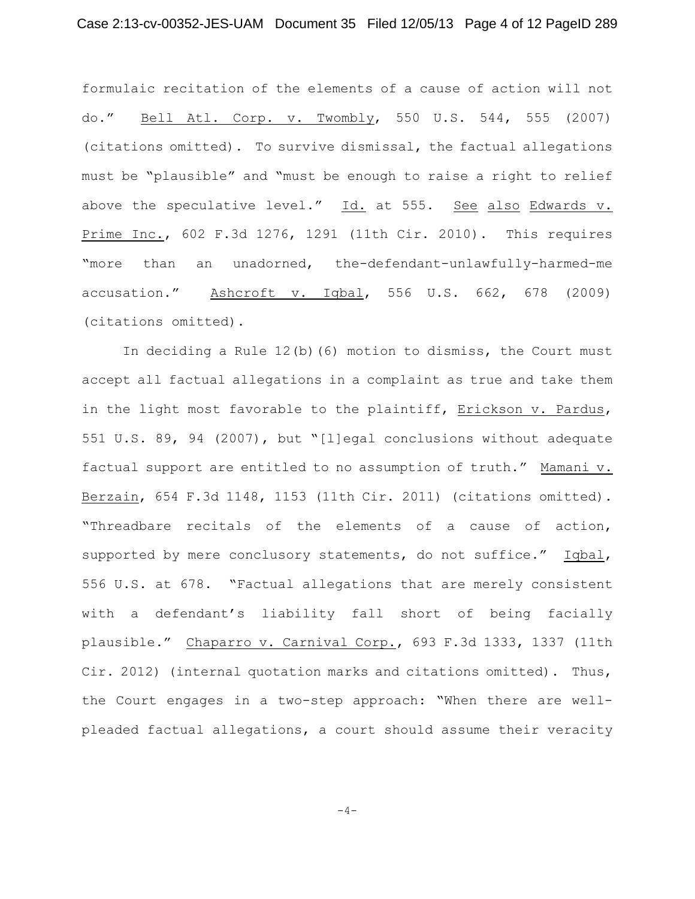formulaic recitation of the elements of a cause of action will not do." Bell Atl. Corp. v. Twombly, 550 U.S. 544, 555 (2007) (citations omitted). To survive dismissal, the factual allegations must be "plausible" and "must be enough to raise a right to relief above the speculative level."  $Id.$  at 555. See also Edwards v. Prime Inc., 602 F.3d 1276, 1291 (11th Cir. 2010). This requires "more than an unadorned, the-defendant-unlawfully-harmed-me accusation." Ashcroft v. Iqbal, 556 U.S. 662, 678 (2009) (citations omitted).

In deciding a Rule 12(b)(6) motion to dismiss, the Court must accept all factual allegations in a complaint as true and take them in the light most favorable to the plaintiff, Erickson v. Pardus, 551 U.S. 89, 94 (2007), but "[l]egal conclusions without adequate factual support are entitled to no assumption of truth." Mamani v. Berzain, 654 F.3d 1148, 1153 (11th Cir. 2011) (citations omitted). "Threadbare recitals of the elements of a cause of action, supported by mere conclusory statements, do not suffice." Iqbal, 556 U.S. at 678. "Factual allegations that are merely consistent with a defendant's liability fall short of being facially plausible." Chaparro v. Carnival Corp., 693 F.3d 1333, 1337 (11th Cir. 2012) (internal quotation marks and citations omitted). Thus, the Court engages in a two-step approach: "When there are wellpleaded factual allegations, a court should assume their veracity

 $-4-$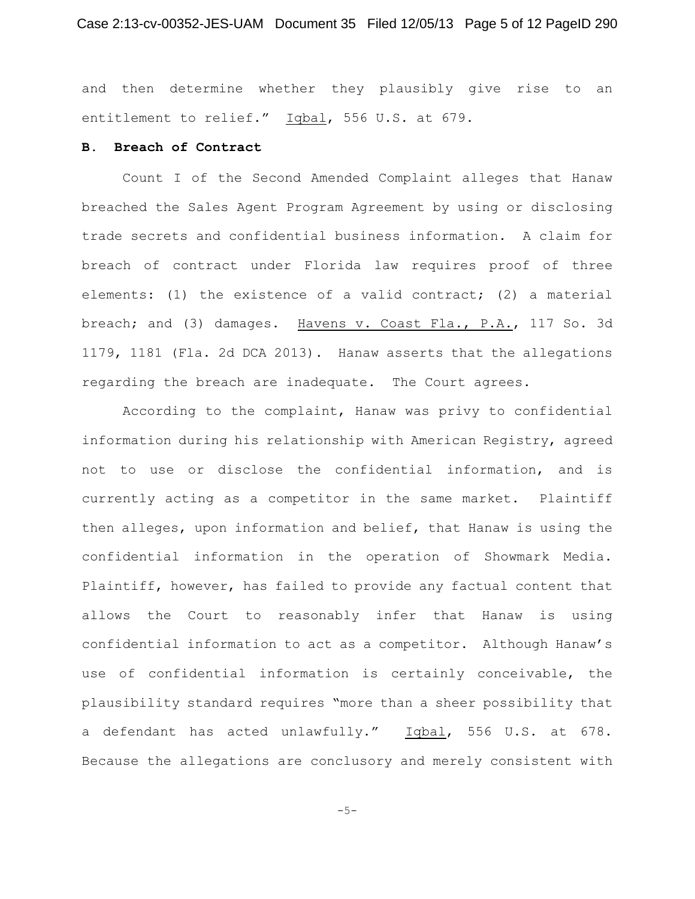and then determine whether they plausibly give rise to an entitlement to relief." Iqbal, 556 U.S. at 679.

### **B. Breach of Contract**

Count I of the Second Amended Complaint alleges that Hanaw breached the Sales Agent Program Agreement by using or disclosing trade secrets and confidential business information. A claim for breach of contract under Florida law requires proof of three elements: (1) the existence of a valid contract; (2) a material breach; and (3) damages. Havens v. Coast Fla., P.A., 117 So. 3d 1179, 1181 (Fla. 2d DCA 2013). Hanaw asserts that the allegations regarding the breach are inadequate. The Court agrees.

According to the complaint, Hanaw was privy to confidential information during his relationship with American Registry, agreed not to use or disclose the confidential information, and is currently acting as a competitor in the same market. Plaintiff then alleges, upon information and belief, that Hanaw is using the confidential information in the operation of Showmark Media. Plaintiff, however, has failed to provide any factual content that allows the Court to reasonably infer that Hanaw is using confidential information to act as a competitor. Although Hanaw's use of confidential information is certainly conceivable, the plausibility standard requires "more than a sheer possibility that a defendant has acted unlawfully." Iqbal, 556 U.S. at 678. Because the allegations are conclusory and merely consistent with

-5-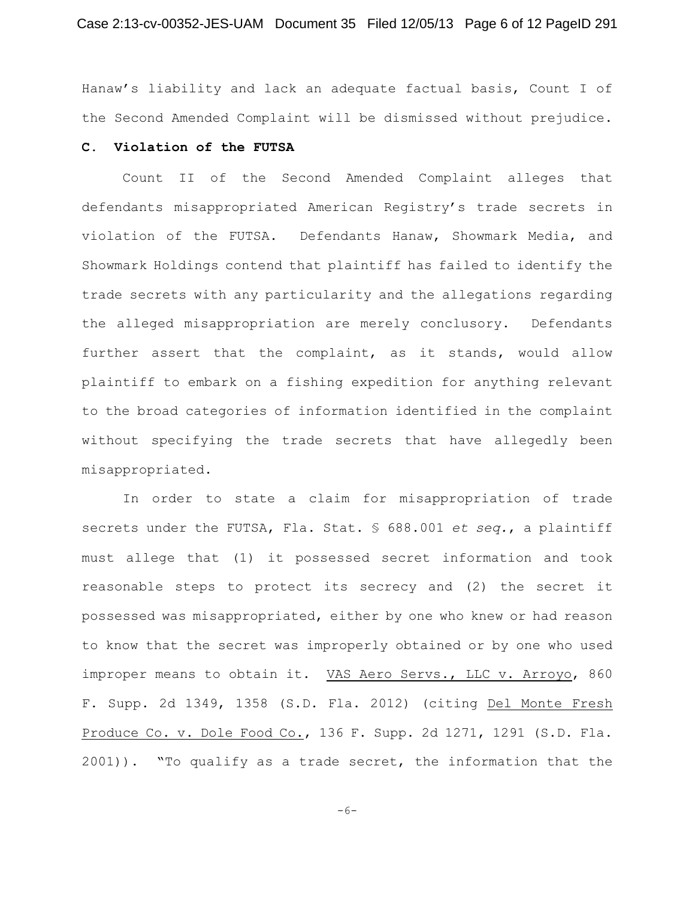Hanaw's liability and lack an adequate factual basis, Count I of the Second Amended Complaint will be dismissed without prejudice.

# **C. Violation of the FUTSA**

Count II of the Second Amended Complaint alleges that defendants misappropriated American Registry's trade secrets in violation of the FUTSA. Defendants Hanaw, Showmark Media, and Showmark Holdings contend that plaintiff has failed to identify the trade secrets with any particularity and the allegations regarding the alleged misappropriation are merely conclusory. Defendants further assert that the complaint, as it stands, would allow plaintiff to embark on a fishing expedition for anything relevant to the broad categories of information identified in the complaint without specifying the trade secrets that have allegedly been misappropriated.

In order to state a claim for misappropriation of trade secrets under the FUTSA, Fla. Stat. § 688.001 *et seq.*, a plaintiff must allege that (1) it possessed secret information and took reasonable steps to protect its secrecy and (2) the secret it possessed was misappropriated, either by one who knew or had reason to know that the secret was improperly obtained or by one who used improper means to obtain it. VAS Aero Servs., LLC v. Arroyo, 860 F. Supp. 2d 1349, 1358 (S.D. Fla. 2012) (citing Del Monte Fresh Produce Co. v. Dole Food Co., 136 F. Supp. 2d 1271, 1291 (S.D. Fla. 2001)). "To qualify as a trade secret, the information that the

-6-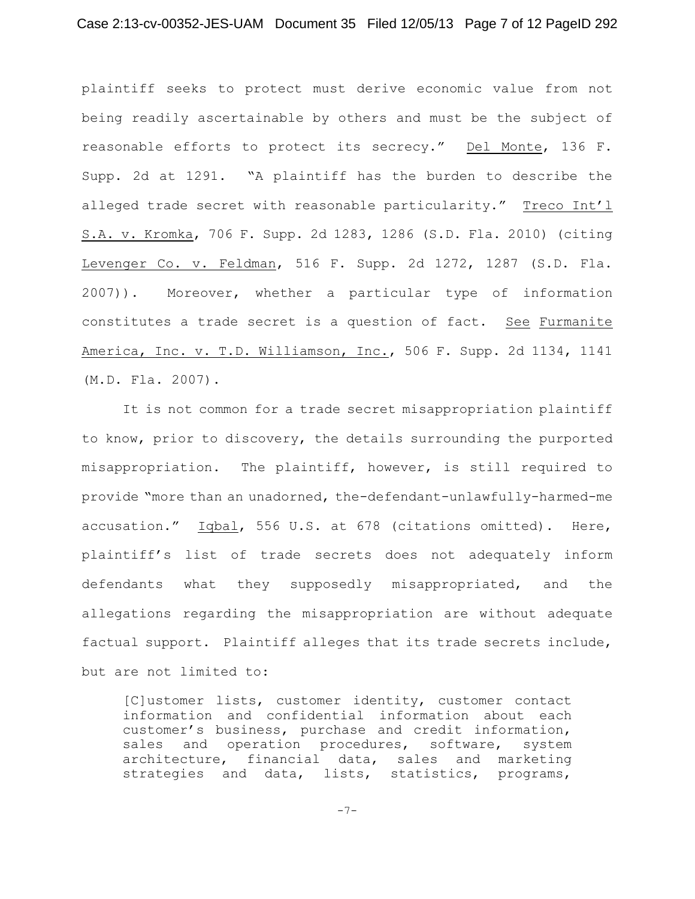plaintiff seeks to protect must derive economic value from not being readily ascertainable by others and must be the subject of reasonable efforts to protect its secrecy." Del Monte, 136 F. Supp. 2d at 1291. "A plaintiff has the burden to describe the alleged trade secret with reasonable particularity." Treco Int'l S.A. v. Kromka, 706 F. Supp. 2d 1283, 1286 (S.D. Fla. 2010) (citing Levenger Co. v. Feldman, 516 F. Supp. 2d 1272, 1287 (S.D. Fla. 2007)). Moreover, whether a particular type of information constitutes a trade secret is a question of fact. See Furmanite America, Inc. v. T.D. Williamson, Inc., 506 F. Supp. 2d 1134, 1141 (M.D. Fla. 2007).

It is not common for a trade secret misappropriation plaintiff to know, prior to discovery, the details surrounding the purported misappropriation. The plaintiff, however, is still required to provide "more than an unadorned, the-defendant-unlawfully-harmed-me accusation." Iqbal, 556 U.S. at 678 (citations omitted). Here, plaintiff's list of trade secrets does not adequately inform defendants what they supposedly misappropriated, and the allegations regarding the misappropriation are without adequate factual support. Plaintiff alleges that its trade secrets include, but are not limited to:

[C]ustomer lists, customer identity, customer contact information and confidential information about each customer's business, purchase and credit information, sales and operation procedures, software, system architecture, financial data, sales and marketing strategies and data, lists, statistics, programs,

 $-7-$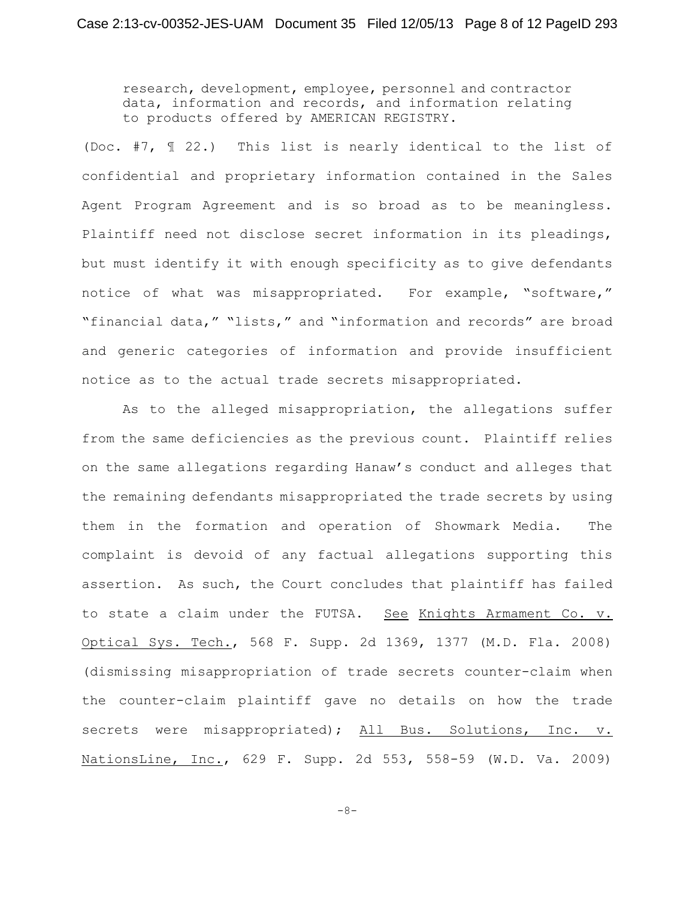research, development, employee, personnel and contractor data, information and records, and information relating to products offered by AMERICAN REGISTRY.

(Doc. #7, ¶ 22.) This list is nearly identical to the list of confidential and proprietary information contained in the Sales Agent Program Agreement and is so broad as to be meaningless. Plaintiff need not disclose secret information in its pleadings, but must identify it with enough specificity as to give defendants notice of what was misappropriated. For example, "software," "financial data," "lists," and "information and records" are broad and generic categories of information and provide insufficient notice as to the actual trade secrets misappropriated.

As to the alleged misappropriation, the allegations suffer from the same deficiencies as the previous count. Plaintiff relies on the same allegations regarding Hanaw's conduct and alleges that the remaining defendants misappropriated the trade secrets by using them in the formation and operation of Showmark Media. The complaint is devoid of any factual allegations supporting this assertion. As such, the Court concludes that plaintiff has failed to state a claim under the FUTSA. See Knights Armament Co. v. Optical Sys. Tech., 568 F. Supp. 2d 1369, 1377 (M.D. Fla. 2008) (dismissing misappropriation of trade secrets counter-claim when the counter-claim plaintiff gave no details on how the trade secrets were misappropriated); All Bus. Solutions, Inc. v. NationsLine, Inc., 629 F. Supp. 2d 553, 558-59 (W.D. Va. 2009)

 $-8-$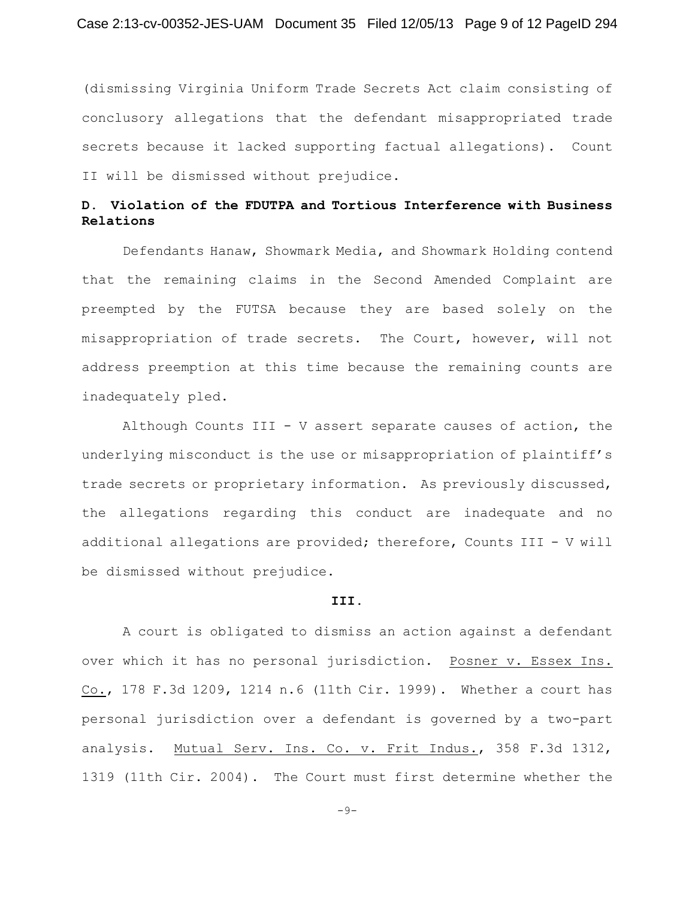(dismissing Virginia Uniform Trade Secrets Act claim consisting of conclusory allegations that the defendant misappropriated trade secrets because it lacked supporting factual allegations). Count II will be dismissed without prejudice.

# **D. Violation of the FDUTPA and Tortious Interference with Business Relations**

Defendants Hanaw, Showmark Media, and Showmark Holding contend that the remaining claims in the Second Amended Complaint are preempted by the FUTSA because they are based solely on the misappropriation of trade secrets. The Court, however, will not address preemption at this time because the remaining counts are inadequately pled.

Although Counts III - V assert separate causes of action, the underlying misconduct is the use or misappropriation of plaintiff's trade secrets or proprietary information. As previously discussed, the allegations regarding this conduct are inadequate and no additional allegations are provided; therefore, Counts III - V will be dismissed without prejudice.

#### **III.**

A court is obligated to dismiss an action against a defendant over which it has no personal jurisdiction. Posner v. Essex Ins. Co., 178 F.3d 1209, 1214 n.6 (11th Cir. 1999). Whether a court has personal jurisdiction over a defendant is governed by a two-part analysis. Mutual Serv. Ins. Co. v. Frit Indus., 358 F.3d 1312, 1319 (11th Cir. 2004). The Court must first determine whether the

 $-9-$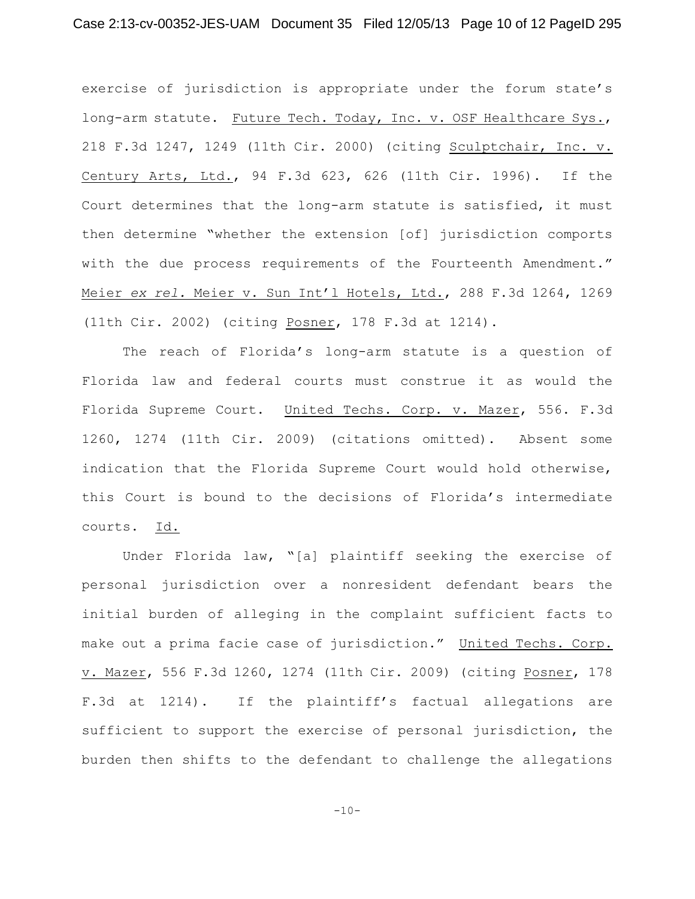exercise of jurisdiction is appropriate under the forum state's long-arm statute. Future Tech. Today, Inc. v. OSF Healthcare Sys., 218 F.3d 1247, 1249 (11th Cir. 2000) (citing Sculptchair, Inc. v. Century Arts, Ltd., 94 F.3d 623, 626 (11th Cir. 1996). If the Court determines that the long-arm statute is satisfied, it must then determine "whether the extension [of] jurisdiction comports with the due process requirements of the Fourteenth Amendment." Meier *ex rel.* Meier v. Sun Int'l Hotels, Ltd., 288 F.3d 1264, 1269 (11th Cir. 2002) (citing Posner, 178 F.3d at 1214).

The reach of Florida's long-arm statute is a question of Florida law and federal courts must construe it as would the Florida Supreme Court. United Techs. Corp. v. Mazer, 556. F.3d 1260, 1274 (11th Cir. 2009) (citations omitted). Absent some indication that the Florida Supreme Court would hold otherwise, this Court is bound to the decisions of Florida's intermediate courts. Id.

Under Florida law, "[a] plaintiff seeking the exercise of personal jurisdiction over a nonresident defendant bears the initial burden of alleging in the complaint sufficient facts to make out a prima facie case of jurisdiction." United Techs. Corp. v. Mazer, 556 F.3d 1260, 1274 (11th Cir. 2009) (citing Posner, 178 F.3d at 1214). If the plaintiff's factual allegations are sufficient to support the exercise of personal jurisdiction, the burden then shifts to the defendant to challenge the allegations

 $-10-$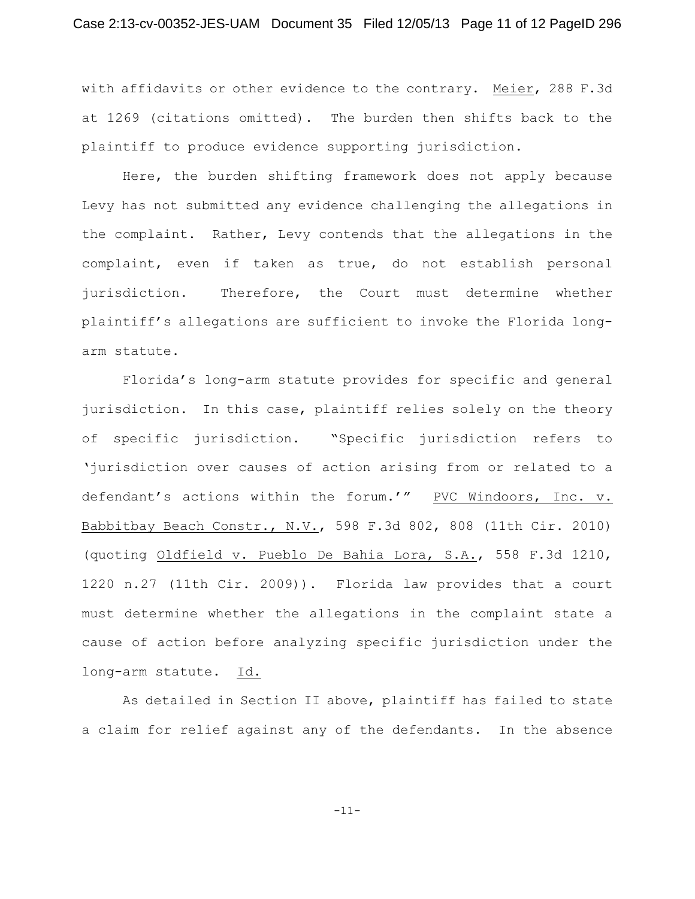with affidavits or other evidence to the contrary. Meier, 288 F.3d at 1269 (citations omitted). The burden then shifts back to the plaintiff to produce evidence supporting jurisdiction.

Here, the burden shifting framework does not apply because Levy has not submitted any evidence challenging the allegations in the complaint. Rather, Levy contends that the allegations in the complaint, even if taken as true, do not establish personal jurisdiction. Therefore, the Court must determine whether plaintiff's allegations are sufficient to invoke the Florida longarm statute.

Florida's long-arm statute provides for specific and general jurisdiction. In this case, plaintiff relies solely on the theory of specific jurisdiction. "Specific jurisdiction refers to 'jurisdiction over causes of action arising from or related to a defendant's actions within the forum.'" PVC Windoors, Inc. v. Babbitbay Beach Constr., N.V., 598 F.3d 802, 808 (11th Cir. 2010) (quoting Oldfield v. Pueblo De Bahia Lora, S.A., 558 F.3d 1210, 1220 n.27 (11th Cir. 2009)). Florida law provides that a court must determine whether the allegations in the complaint state a cause of action before analyzing specific jurisdiction under the long-arm statute. Id.

As detailed in Section II above, plaintiff has failed to state a claim for relief against any of the defendants. In the absence

-11-